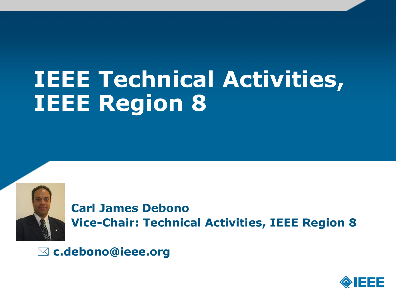# **IEEE Technical Activities, IEEE Region 8**



 **Carl James Debono Vice-Chair: Technical Activities, IEEE Region 8**

**c.debono@ieee.org** 

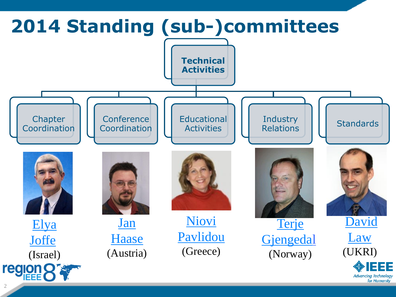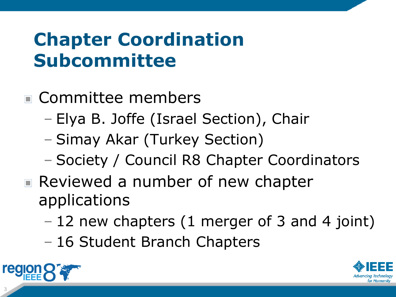### **Chapter Coordination Subcommittee**

#### Committee members

- Elya B. Joffe (Israel Section), Chair
- Simay Akar (Turkey Section)
- Society / Council R8 Chapter Coordinators
- Reviewed a number of new chapter applications
	- 12 new chapters (1 merger of 3 and 4 joint)
	- 16 Student Branch Chapters



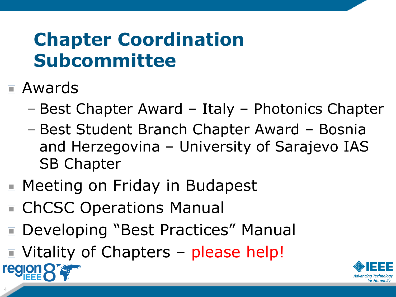# **Chapter Coordination Subcommittee**

Awards

4

**region** 

- Best Chapter Award Italy Photonics Chapter
- Best Student Branch Chapter Award Bosnia and Herzegovina – University of Sarajevo IAS SB Chapter
- Meeting on Friday in Budapest
- ChCSC Operations Manual
- Developing "Best Practices" Manual  $\Box$
- Vitality of Chapters please help!

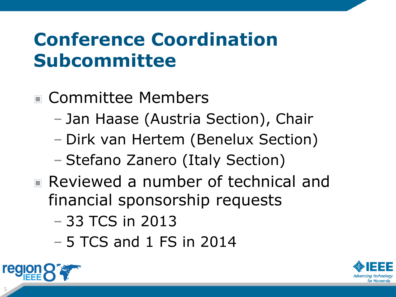### **Conference Coordination Subcommittee**

#### Committee Members

- Jan Haase (Austria Section), Chair
- Dirk van Hertem (Benelux Section)
- Stefano Zanero (Italy Section)
- Reviewed a number of technical and financial sponsorship requests
	- 33 TCS in 2013
	- 5 TCS and 1 FS in 2014



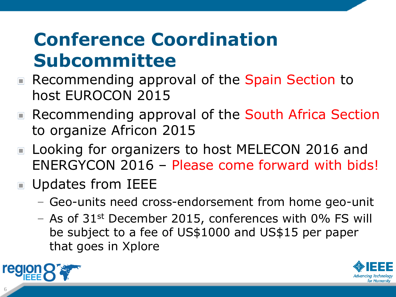# **Conference Coordination Subcommittee**

- Recommending approval of the Spain Section to host EUROCON 2015
- Recommending approval of the South Africa Section to organize Africon 2015
- Looking for organizers to host MELECON 2016 and ENERGYCON 2016 – Please come forward with bids!
- **Updates from IEEE** 
	- Geo-units need cross-endorsement from home geo-unit
	- As of  $31^{st}$  December 2015, conferences with 0% FS will be subject to a fee of US\$1000 and US\$15 per paper that goes in Xplore



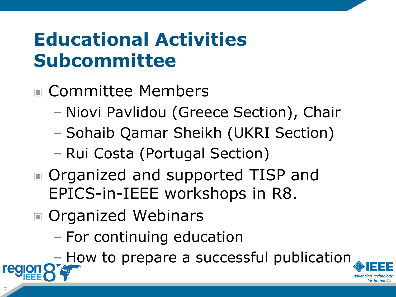#### **Educational Activities Subcommittee**

- Committee Members
	- Niovi Pavlidou (Greece Section), Chair
	- Sohaib Qamar Sheikh (UKRI Section)
	- Rui Costa (Portugal Section)
- Organized and supported TISP and EPICS-in-IEEE workshops in R8.
- Organized Webinars

7

– For continuing education

– How to prepare a successful publication

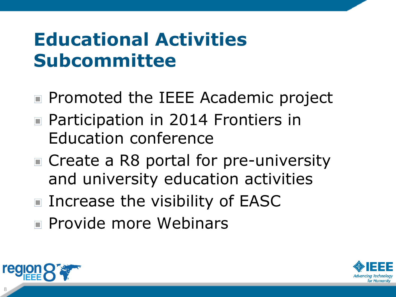#### **Educational Activities Subcommittee**

- Promoted the IEEE Academic project
- Participation in 2014 Frontiers in Education conference
- Create a R8 portal for pre-university and university education activities
- Increase the visibility of EASC
- Provide more Webinars



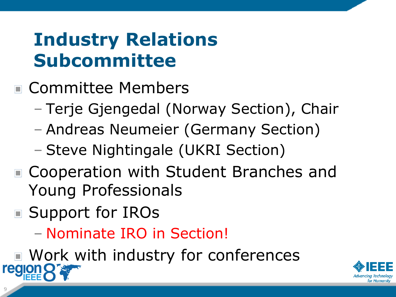#### **Industry Relations Subcommittee**

- Committee Members
	- Terje Gjengedal (Norway Section), Chair
	- Andreas Neumeier (Germany Section)
	- Steve Nightingale (UKRI Section)
- Cooperation with Student Branches and Young Professionals
- Support for IROs
	- Nominate IRO in Section!
- Work with industry for conferences i teolon

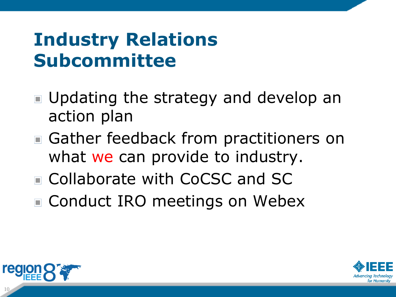### **Industry Relations Subcommittee**

- Updating the strategy and develop an action plan
- Gather feedback from practitioners on what we can provide to industry.
- Collaborate with CoCSC and SC
- Conduct IRO meetings on Webex



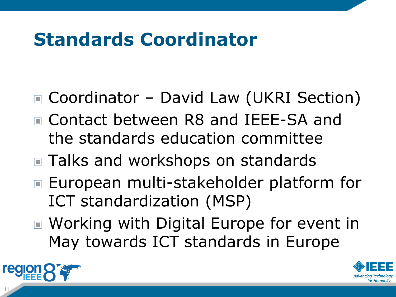## **Standards Coordinator**

- Coordinator David Law (UKRI Section)
- Contact between R8 and IEEE-SA and the standards education committee
- Talks and workshops on standards
- European multi-stakeholder platform for ICT standardization (MSP)
- Working with Digital Europe for event in May towards ICT standards in Europe



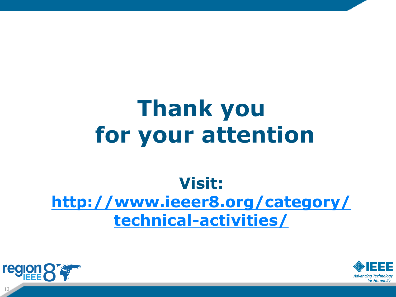# **Thank you for your attention**

#### **Visit: [http://www.ieeer8.org/category/](http://www.ieeer8.org/category/technical-activities/)  [technical-activities/](http://www.ieeer8.org/category/technical-activities/)**



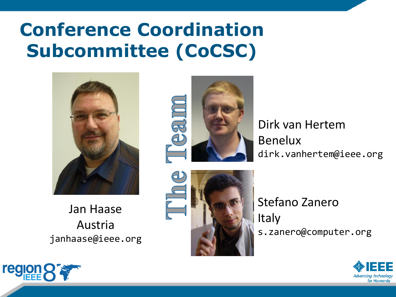### **Conference Coordination Subcommittee (CoCSC)**



Jan Haase Austria janhaase@ieee.org



Dirk van Hertem Benelux dirk.vanhertem@ieee.org



Stefano Zanero **Italy** s.zanero@computer.org



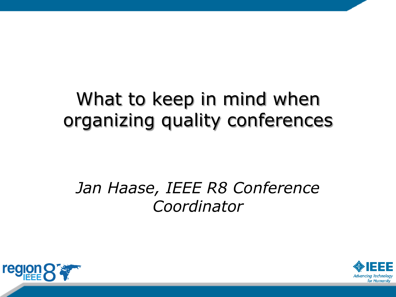#### What to keep in mind when organizing quality conferences

#### *Jan Haase, IEEE R8 Conference Coordinator*



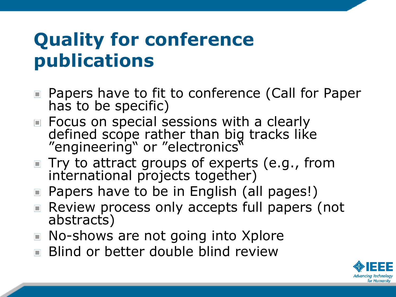#### **Quality for conference publications**

- Papers have to fit to conference (Call for Paper has to be specific)
- Focus on special sessions with a clearly defined scope rather than big tracks like "engineering" or "electronics"
- $\blacksquare$  Try to attract groups of experts (e.g., from international projects together)
- Papers have to be in English (all pages!)
- Review process only accepts full papers (not abstracts)
- No-shows are not going into Xplore
- **Blind or better double blind review**

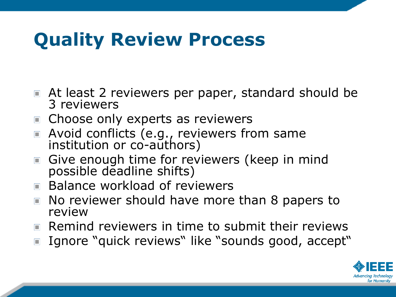## **Quality Review Process**

- **E** At least 2 reviewers per paper, standard should be 3 reviewers
- Choose only experts as reviewers
- Avoid conflicts (e.g., reviewers from same institution or co-authors)
- Give enough time for reviewers (keep in mind possible deadline shifts)
- Balance workload of reviewers
- No reviewer should have more than 8 papers to review
- Remind reviewers in time to submit their reviews
- Ignore "quick reviews" like "sounds good, accept"

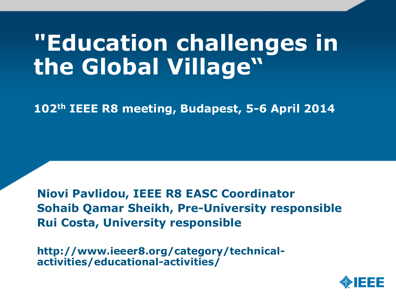# **"Education challenges in the Global Village"**

**102th IEEE R8 meeting, Budapest, 5-6 April 2014**

**Niovi Pavlidou, IEEE R8 EASC Coordinator Sohaib Qamar Sheikh, Pre-University responsible Rui Costa, University responsible**

**http://www.ieeer8.org/category/technicalactivities/educational-activities/**

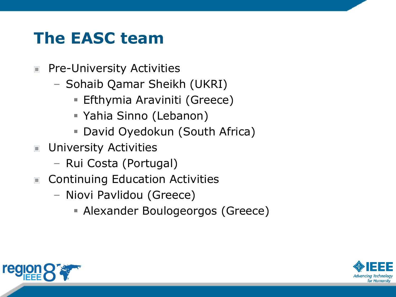#### **The EASC team**

- Pre-University Activities  $\Box$ 
	- Sohaib Qamar Sheikh (UKRI)
		- **Efthymia Araviniti (Greece)**
		- Yahia Sinno (Lebanon)
		- David Oyedokun (South Africa)
- **University Activities** 
	- Rui Costa (Portugal)
- Continuing Education Activities
	- Niovi Pavlidou (Greece)
		- Alexander Boulogeorgos (Greece)



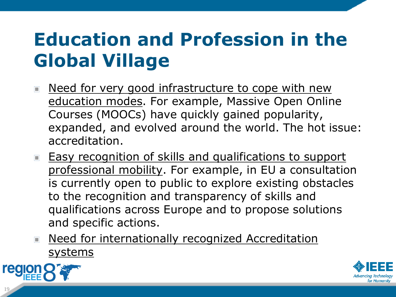# **Education and Profession in the Global Village**

- Need for very good infrastructure to cope with new education modes. For example, Massive Open Online Courses (MOOCs) have quickly gained popularity, expanded, and evolved around the world. The hot issue: accreditation.
- **Easy recognition of skills and qualifications to support** professional mobility. For example, in EU a consultation is currently open to public to explore existing obstacles to the recognition and transparency of skills and qualifications across Europe and to propose solutions and specific actions.
- Need for internationally recognized Accreditation systems



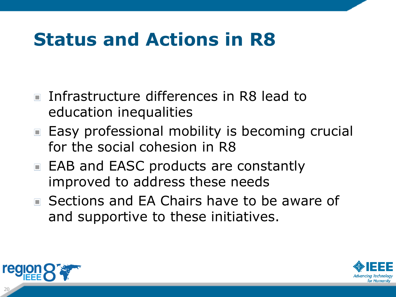### **Status and Actions in R8**

- **Infrastructure differences in R8 lead to** education inequalities
- Easy professional mobility is becoming crucial for the social cohesion in R8
- EAB and EASC products are constantly improved to address these needs
- Sections and EA Chairs have to be aware of and supportive to these initiatives.



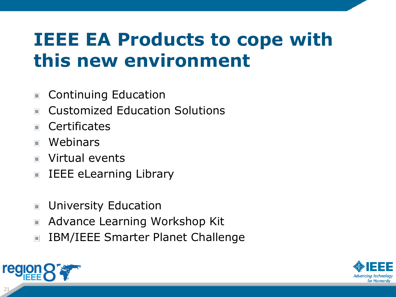#### **IEEE EA Products to cope with this new environment**

- Continuing Education  $\Box$
- Customized Education Solutions  $\Box$
- **Certificates**  $\blacksquare$
- Webinars  $\blacksquare$
- Virtual events  $\blacksquare$
- IEEE eLearning Library  $\Box$
- University Education  $\Box$
- Advance Learning Workshop Kit  $\blacksquare$
- IBM/IEEE Smarter Planet Challenge  $\Box$



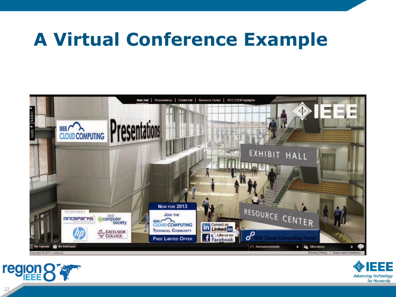#### **A Virtual Conference Example**





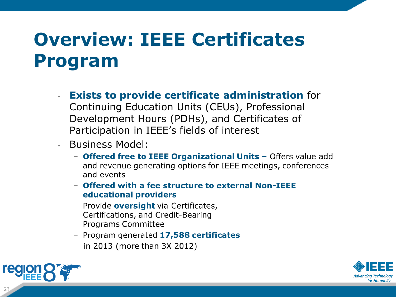# **Overview: IEEE Certificates Program**

- **Exists to provide certificate administration for** Continuing Education Units (CEUs), Professional Development Hours (PDHs), and Certificates of Participation in IEEE's fields of interest
- **Business Model:** 
	- Offered free to IEEE Organizational Units Offers value add and revenue generating options for IEEE meetings, conferences and events
	- Offered with a fee structure to external Non-IEEE educational providers
	- Provide oversight via Certificates, Certifications, and Credit-Bearing **Programs Committee**
	- Program generated 17,588 certificates in 2013 (more than 3X 2012)



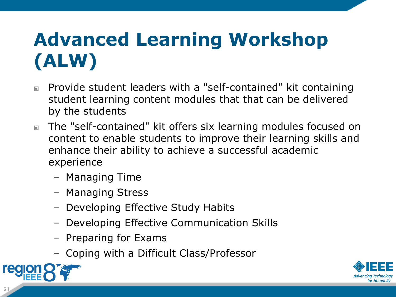# **Advanced Learning Workshop (ALW)**

- Provide student leaders with a "self-contained" kit containing student learning content modules that that can be delivered by the students
- The "self-contained" kit offers six learning modules focused on content to enable students to improve their learning skills and enhance their ability to achieve a successful academic experience
	- Managing Time
	- Managing Stress
	- Developing Effective Study Habits
	- Developing Effective Communication Skills
	- Preparing for Exams
	- Coping with a Difficult Class/Professor



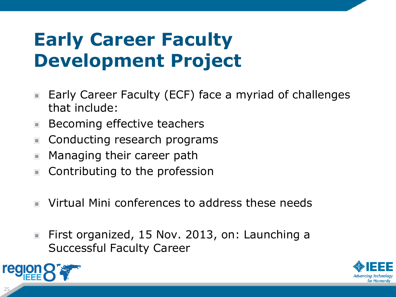### **Early Career Faculty Development Project**

- Early Career Faculty (ECF) face a myriad of challenges  $\Box$ that include:
- Becoming effective teachers
- Conducting research programs  $\Box$
- Managing their career path  $\blacksquare$
- Contributing to the profession  $\Box$
- Virtual Mini conferences to address these needs  $\Box$
- First organized, 15 Nov. 2013, on: Launching a  $\Box$ Successful Faculty Career



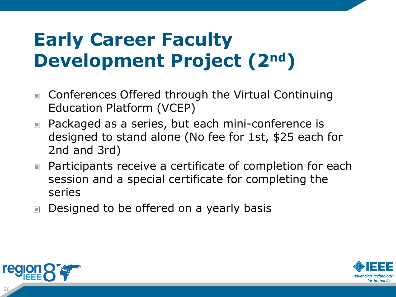# **Early Career Faculty Development Project (2nd)**

- Conferences Offered through the Virtual Continuing  $\Box$ Education Platform (VCEP)
- Packaged as a series, but each mini-conference is designed to stand alone (No fee for 1st, \$25 each for 2nd and 3rd)
- Participants receive a certificate of completion for each session and a special certificate for completing the series
- Designed to be offered on a yearly basis



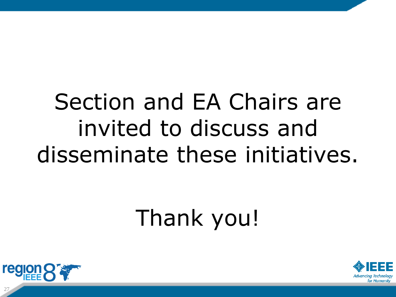# Section and EA Chairs are invited to discuss and disseminate these initiatives.

# Thank you!



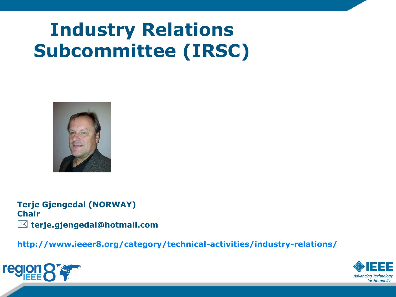# **Industry Relations Subcommittee (IRSC)**



**Terje Gjengedal (NORWAY) Chair terje.gjengedal@hotmail.com**

**<http://www.ieeer8.org/category/technical-activities/industry-relations/>**



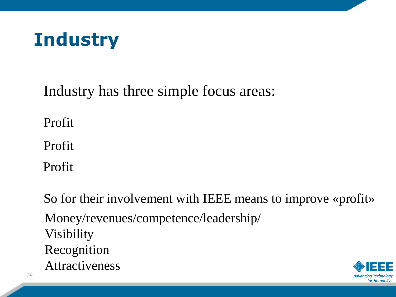

Industry has three simple focus areas:

Profit

Profit

Profit

So for their involvement with IEEE means to improve «profit» Money/revenues/competence/leadership/ Visibility Recognition Attractiveness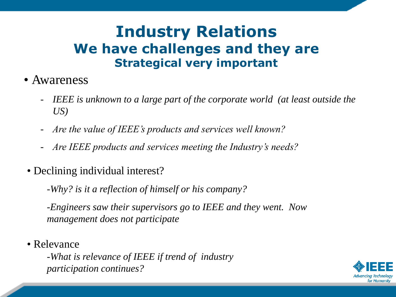#### **Industry Relations We have challenges and they are Strategical very important**

- Awareness
	- *IEEE* is unknown to a large part of the corporate world (at least outside the *US)*
	- *Are the value of IEEE's products and services well known?*
	- *Are IEEE products and services meeting the Industry's needs?*
- Declining individual interest?
	- -*Why? is it a reflection of himself or his company?*

-*Engineers saw their supervisors go to IEEE and they went. Now management does not participate*

• Relevance

-*What is relevance of IEEE if trend of industry participation continues?*

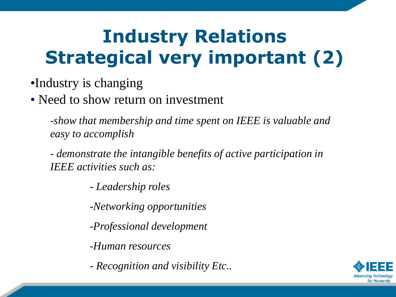# **Industry Relations Strategical very important (2)**

#### •Industry is changing

• Need to show return on investment

-*show that membership and time spent on IEEE is valuable and easy to accomplish*

- *demonstrate the intangible benefits of active participation in IEEE activities such as:* 

- *Leadership roles*

-*Networking opportunities*

-*Professional development*

-*Human resources*

- *Recognition and visibility Etc..*

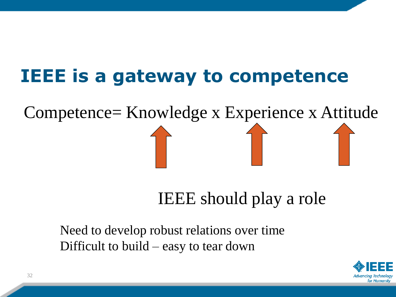#### **IEEE is a gateway to competence**

Competence= Knowledge x Experience x Attitude

IEEE should play a role

Need to develop robust relations over time Difficult to build – easy to tear down

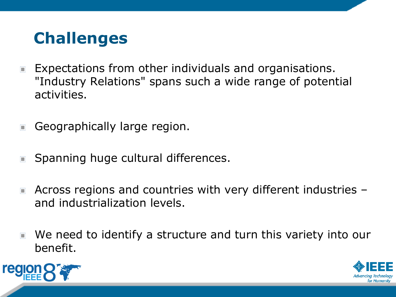#### **Challenges**

- Expectations from other individuals and organisations.  $\Box$ "Industry Relations" spans such a wide range of potential activities.
- Geographically large region.  $\Box$
- Spanning huge cultural differences.  $\blacksquare$
- Across regions and countries with very different industries  $\blacksquare$ and industrialization levels.
- We need to identify a structure and turn this variety into our benefit.



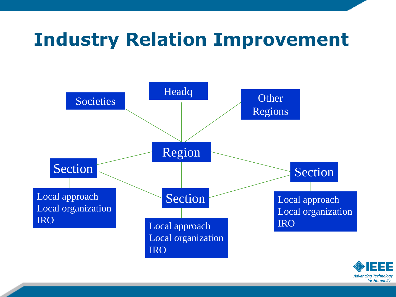#### **Industry Relation Improvement**



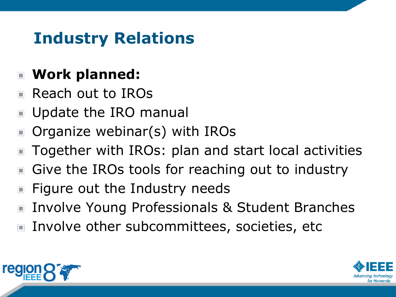#### **Industry Relations**

#### **Work planned:**

- Reach out to IROs
- Update the IRO manual  $\Box$
- Organize webinar(s) with IROs  $\Box$
- Together with IROs: plan and start local activities  $\Box$
- Give the IROs tools for reaching out to industry  $\Box$
- Figure out the Industry needs  $\Box$
- Involve Young Professionals & Student Branches  $\Box$
- Involve other subcommittees, societies, etc



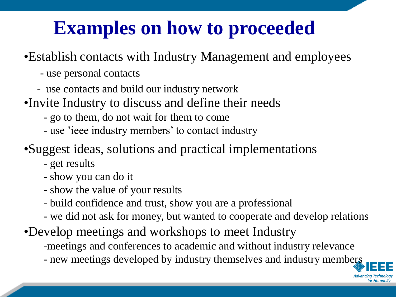# **Examples on how to proceeded**

#### •Establish contacts with Industry Management and employees

- use personal contacts
- use contacts and build our industry network
- •Invite Industry to discuss and define their needs
	- go to them, do not wait for them to come
	- use 'ieee industry members' to contact industry
- •Suggest ideas, solutions and practical implementations
	- get results
	- show you can do it
	- show the value of your results
	- build confidence and trust, show you are a professional
	- we did not ask for money, but wanted to cooperate and develop relations
- •Develop meetings and workshops to meet Industry
	- -meetings and conferences to academic and without industry relevance
	- new meetings developed by industry themselves and industry members